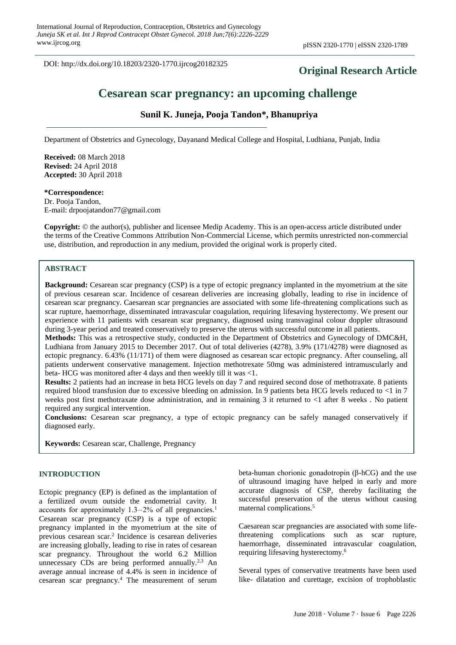DOI: http://dx.doi.org/10.18203/2320-1770.ijrcog20182325

# **Original Research Article**

# **Cesarean scar pregnancy: an upcoming challenge**

# **Sunil K. Juneja, Pooja Tandon\*, Bhanupriya**

Department of Obstetrics and Gynecology, Dayanand Medical College and Hospital, Ludhiana, Punjab, India

**Received:** 08 March 2018 **Revised:** 24 April 2018 **Accepted:** 30 April 2018

#### **\*Correspondence:** Dr. Pooja Tandon,

E-mail: drpoojatandon77@gmail.com

**Copyright:** © the author(s), publisher and licensee Medip Academy. This is an open-access article distributed under the terms of the Creative Commons Attribution Non-Commercial License, which permits unrestricted non-commercial use, distribution, and reproduction in any medium, provided the original work is properly cited.

# **ABSTRACT**

**Background:** Cesarean scar pregnancy (CSP) is a type of ectopic pregnancy implanted in the myometrium at the site of previous cesarean scar. Incidence of cesarean deliveries are increasing globally, leading to rise in incidence of cesarean scar pregnancy. Caesarean scar pregnancies are associated with some life-threatening complications such as scar rupture, haemorrhage, disseminated intravascular coagulation, requiring lifesaving hysterectomy. We present our experience with 11 patients with cesarean scar pregnancy, diagnosed using transvaginal colour doppler ultrasound during 3-year period and treated conservatively to preserve the uterus with successful outcome in all patients.

**Methods:** This was a retrospective study, conducted in the Department of Obstetrics and Gynecology of DMC&H, Ludhiana from January 2015 to December 2017. Out of total deliveries (4278), 3.9% (171/4278) were diagnosed as ectopic pregnancy. 6.43% (11/171) of them were diagnosed as cesarean scar ectopic pregnancy. After counseling, all patients underwent conservative management. Injection methotrexate 50mg was administered intramuscularly and beta- HCG was monitored after 4 days and then weekly till it was <1.

**Results:** 2 patients had an increase in beta HCG levels on day 7 and required second dose of methotraxate. 8 patients required blood transfusion due to excessive bleeding on admission. In 9 patients beta HCG levels reduced to <1 in 7 weeks post first methotraxate dose administration, and in remaining 3 it returned to <1 after 8 weeks . No patient required any surgical intervention.

**Conclusions:** Cesarean scar pregnancy, a type of ectopic pregnancy can be safely managed conservatively if diagnosed early.

**Keywords:** Cesarean scar, Challenge, Pregnancy

## **INTRODUCTION**

Ectopic pregnancy (EP) is defined as the implantation of a fertilized ovum outside the endometrial cavity. It accounts for approximately  $1.3-2%$  of all pregnancies.<sup>1</sup> Cesarean scar pregnancy (CSP) is a type of ectopic pregnancy implanted in the myometrium at the site of previous cesarean scar.<sup>2</sup> Incidence is cesarean deliveries are increasing globally, leading to rise in rates of cesarean scar pregnancy. Throughout the world 6.2 Million unnecessary CDs are being performed annually. $^{2,3}$  An average annual increase of 4.4% is seen in incidence of cesarean scar pregnancy.<sup>4</sup> The measurement of serum beta-human chorionic gonadotropin (β-hCG) and the use of ultrasound imaging have helped in early and more accurate diagnosis of CSP, thereby facilitating the successful preservation of the uterus without causing maternal complications.<sup>5</sup>

Caesarean scar pregnancies are associated with some lifethreatening complications such as scar rupture, haemorrhage, disseminated intravascular coagulation, requiring lifesaving hysterectomy.<sup>6</sup>

Several types of conservative treatments have been used like- dilatation and curettage, excision of trophoblastic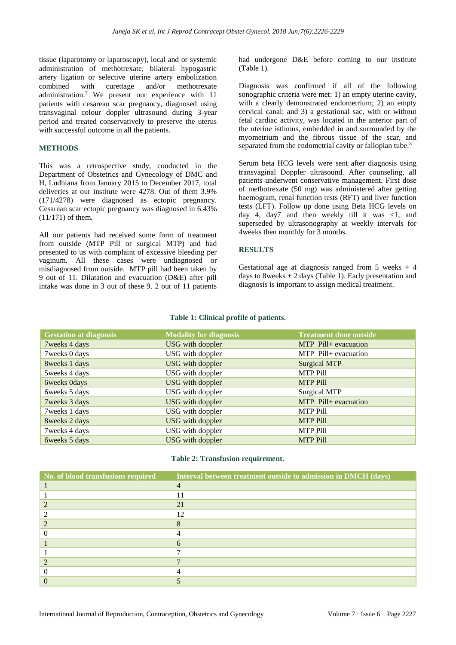tissue (laparotomy or laparoscopy), local and or systemic administration of methotrexate, bilateral hypogastric artery ligation or selective uterine artery embolization combined with curettage and/or methotrexate administration.<sup>7</sup> We present our experience with 11 patients with cesarean scar pregnancy, diagnosed using transvaginal colour doppler ultrasound during 3-year period and treated conservatively to preserve the uterus with successful outcome in all the patients.

## **METHODS**

This was a retrospective study, conducted in the Department of Obstetrics and Gynecology of DMC and H, Ludhiana from January 2015 to December 2017, total deliveries at our institute were 4278. Out of them 3.9% (171/4278) were diagnosed as ectopic pregnancy. Cesarean scar ectopic pregnancy was diagnosed in 6.43% (11/171) of them.

All our patients had received some form of treatment from outside (MTP Pill or surgical MTP) and had presented to us with complaint of excessive bleeding per vaginum. All these cases were undiagnosed or misdiagnosed from outside. MTP pill had been taken by 9 out of 11. Dilatation and evacuation (D&E) after pill intake was done in 3 out of these 9. 2 out of 11 patients

had undergone D&E before coming to our institute (Table 1).

Diagnosis was confirmed if all of the following sonographic criteria were met: 1) an empty uterine cavity, with a clearly demonstrated endometrium; 2) an empty cervical canal; and 3) a gestational sac, with or without fetal cardiac activity, was located in the anterior part of the uterine isthmus, embedded in and surrounded by the myometrium and the fibrous tissue of the scar, and separated from the endometrial cavity or fallopian tube.<sup>8</sup>

Serum beta HCG levels were sent after diagnosis using transvaginal Doppler ultrasound. After counseling, all patients underwent conservative management. First dose of methotrexate (50 mg) was administered after getting haemogram, renal function tests (RFT) and liver function tests (LFT). Follow up done using Beta HCG levels on day 4, day7 and then weekly till it was  $\langle 1$ , and superseded by ultrasonography at weekly intervals for 4weeks then monthly for 3 months.

# **RESULTS**

Gestational age at diagnosis ranged from  $5$  weeks  $+4$ days to 8weeks  $+ 2$  days (Table 1). Early presentation and diagnosis is important to assign medical treatment.

#### **Table 1: Clinical profile of patients.**

| <b>Gestation at diagnosis</b> | <b>Modality for diagnosis</b> | <b>Treatment done outside</b> |
|-------------------------------|-------------------------------|-------------------------------|
| 7weeks 4 days                 | USG with doppler              | MTP Pill+ evacuation          |
| 7 weeks 0 days                | USG with doppler              | MTP Pill+ evacuation          |
| 8weeks 1 days                 | <b>USG</b> with doppler       | <b>Surgical MTP</b>           |
| 5 weeks 4 days                | USG with doppler              | <b>MTP Pill</b>               |
| 6weeks 0days                  | USG with doppler              | <b>MTP Pill</b>               |
| 6weeks 5 days                 | USG with doppler              | <b>Surgical MTP</b>           |
| 7 weeks 3 days                | USG with doppler              | MTP Pill+ evacuation          |
| 7 weeks 1 days                | USG with doppler              | <b>MTP Pill</b>               |
| 8weeks 2 days                 | USG with doppler              | <b>MTP Pill</b>               |
| 7weeks 4 days                 | USG with doppler              | <b>MTP Pill</b>               |
| 6weeks 5 days                 | <b>USG</b> with doppler       | <b>MTP Pill</b>               |

## **Table 2: Transfusion requirement.**

| No. of blood transfusions required | Interval between treatment outside to admission in DMCH (days) |
|------------------------------------|----------------------------------------------------------------|
|                                    | $\overline{4}$                                                 |
|                                    |                                                                |
|                                    | 21                                                             |
|                                    | 12                                                             |
|                                    |                                                                |
|                                    |                                                                |
|                                    | 6                                                              |
|                                    |                                                                |
|                                    |                                                                |
|                                    |                                                                |
|                                    |                                                                |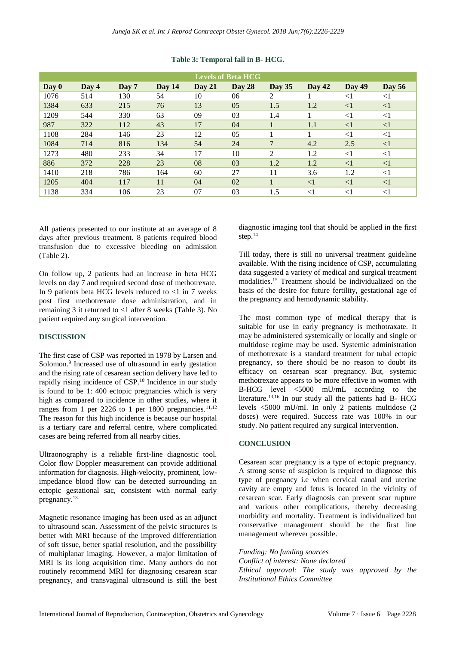| <b>Levels of Beta HCG</b> |         |       |          |               |          |          |               |               |          |  |  |
|---------------------------|---------|-------|----------|---------------|----------|----------|---------------|---------------|----------|--|--|
| Day 0                     | Day $4$ | Day 7 | Day $14$ | <b>Day 21</b> | Day $28$ | Day $35$ | <b>Day 42</b> | <b>Day 49</b> | Day $56$ |  |  |
| 1076                      | 514     | 130   | 54       | 10            | 06       | 2        |               | $<$ 1         | $<$ 1    |  |  |
| 1384                      | 633     | 215   | 76       | 13            | 05       | 1.5      | 1.2           | $\leq$ 1      | $\leq$ 1 |  |  |
| 1209                      | 544     | 330   | 63       | 09            | 03       | 1.4      |               | $\leq$ 1      | $<$ 1    |  |  |
| 987                       | 322     | 112   | 43       | 17            | 04       |          | 1.1           | $\leq$ 1      | $\leq$ 1 |  |  |
| 1108                      | 284     | 146   | 23       | 12            | 05       |          |               | $\leq$ 1      | $<$ 1    |  |  |
| 1084                      | 714     | 816   | 134      | 54            | 24       | 7        | 4.2           | 2.5           | $\leq$ 1 |  |  |
| 1273                      | 480     | 233   | 34       | 17            | 10       | 2        | 1.2           | $\leq$ 1      | $<$ 1    |  |  |
| 886                       | 372     | 228   | 23       | 08            | 03       | 1.2      | 1.2           | $\leq$ 1      | $\leq$ 1 |  |  |
| 1410                      | 218     | 786   | 164      | 60            | 27       | 11       | 3.6           | 1.2           | $<$ 1    |  |  |
| 1205                      | 404     | 117   | 11       | 04            | 02       |          | $<$ 1         | $\leq$ 1      | $<$ 1    |  |  |
| 1138                      | 334     | 106   | 23       | 07            | 03       | 1.5      | $<$ 1         | $<$ 1         | $<$ 1    |  |  |

### **Table 3: Temporal fall in B- HCG.**

All patients presented to our institute at an average of 8 days after previous treatment. 8 patients required blood transfusion due to excessive bleeding on admission (Table 2).

On follow up, 2 patients had an increase in beta HCG levels on day 7 and required second dose of methotrexate. In 9 patients beta HCG levels reduced to  $\langle 1 \text{ in } 7 \text{ weeks} \rangle$ post first methotrexate dose administration, and in remaining 3 it returned to <1 after 8 weeks (Table 3). No patient required any surgical intervention.

## **DISCUSSION**

The first case of CSP was reported in 1978 by Larsen and Solomon.<sup>9</sup> Increased use of ultrasound in early gestation and the rising rate of cesarean section delivery have led to rapidly rising incidence of CSP.<sup>10</sup> Incidence in our study is found to be 1: 400 ectopic pregnancies which is very high as compared to incidence in other studies, where it ranges from 1 per 2226 to 1 per 1800 pregnancies.<sup>11,12</sup> The reason for this high incidence is because our hospital is a tertiary care and referral centre, where complicated cases are being referred from all nearby cities.

Ultraonography is a reliable first-line diagnostic tool. Color flow Doppler measurement can provide additional information for diagnosis. High-velocity, prominent, lowimpedance blood flow can be detected surrounding an ectopic gestational sac, consistent with normal early pregnancy.<sup>13</sup>

Magnetic resonance imaging has been used as an adjunct to ultrasound scan. Assessment of the pelvic structures is better with MRI because of the improved differentiation of soft tissue, better spatial resolution, and the possibility of multiplanar imaging. However, a major limitation of MRI is its long acquisition time. Many authors do not routinely recommend MRI for diagnosing cesarean scar pregnancy, and transvaginal ultrasound is still the best diagnostic imaging tool that should be applied in the first step.<sup>14</sup>

Till today, there is still no universal treatment guideline available. With the rising incidence of CSP, accumulating data suggested a variety of medical and surgical treatment modalities.<sup>15</sup> Treatment should be individualized on the basis of the desire for future fertility, gestational age of the pregnancy and hemodynamic stability.

The most common type of medical therapy that is suitable for use in early pregnancy is methotraxate. It may be administered systemically or locally and single or multidose regime may be used. Systemic administration of methotrexate is a standard treatment for tubal ectopic pregnancy, so there should be no reason to doubt its efficacy on cesarean scar pregnancy. But, systemic methotrexate appears to be more effective in women with B-HCG level <5000 mU/mL according to the literature.13,16 In our study all the patients had B- HCG levels <5000 mU/mI. In only 2 patients multidose (2 doses) were required. Success rate was 100% in our study. No patient required any surgical intervention.

# **CONCLUSION**

Cesarean scar pregnancy is a type of ectopic pregnancy. A strong sense of suspicion is required to diagnose this type of pregnancy i.e when cervical canal and uterine cavity are empty and fetus is located in the vicinity of cesarean scar. Early diagnosis can prevent scar rupture and various other complications, thereby decreasing morbidity and mortality. Treatment is individualized but conservative management should be the first line management wherever possible.

*Funding: No funding sources Conflict of interest: None declared Ethical approval: The study was approved by the Institutional Ethics Committee*